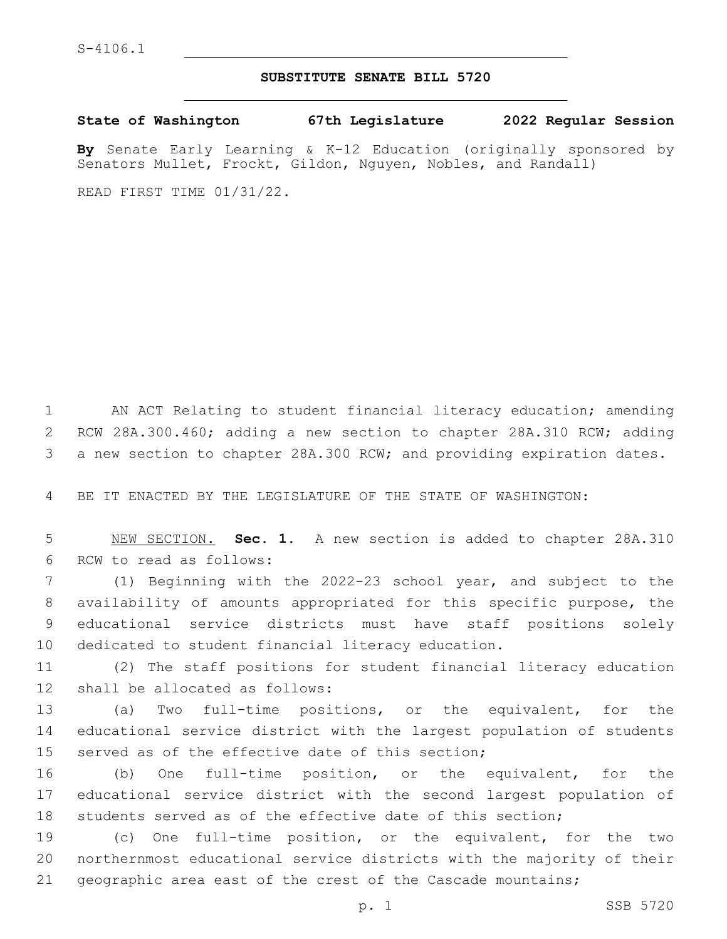## **SUBSTITUTE SENATE BILL 5720**

**State of Washington 67th Legislature 2022 Regular Session**

**By** Senate Early Learning & K-12 Education (originally sponsored by Senators Mullet, Frockt, Gildon, Nguyen, Nobles, and Randall)

READ FIRST TIME 01/31/22.

 AN ACT Relating to student financial literacy education; amending RCW 28A.300.460; adding a new section to chapter 28A.310 RCW; adding a new section to chapter 28A.300 RCW; and providing expiration dates.

BE IT ENACTED BY THE LEGISLATURE OF THE STATE OF WASHINGTON:

 NEW SECTION. **Sec. 1.** A new section is added to chapter 28A.310 6 RCW to read as follows:

 (1) Beginning with the 2022-23 school year, and subject to the availability of amounts appropriated for this specific purpose, the educational service districts must have staff positions solely dedicated to student financial literacy education.

 (2) The staff positions for student financial literacy education 12 shall be allocated as follows:

 (a) Two full-time positions, or the equivalent, for the educational service district with the largest population of students served as of the effective date of this section;

 (b) One full-time position, or the equivalent, for the educational service district with the second largest population of students served as of the effective date of this section;

 (c) One full-time position, or the equivalent, for the two northernmost educational service districts with the majority of their geographic area east of the crest of the Cascade mountains;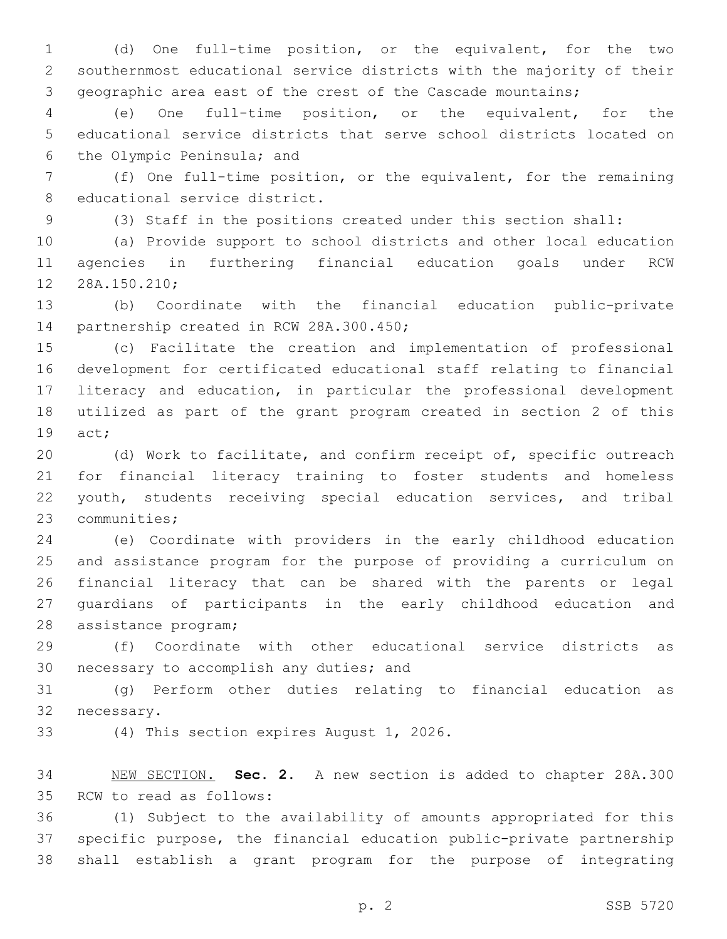(d) One full-time position, or the equivalent, for the two southernmost educational service districts with the majority of their geographic area east of the crest of the Cascade mountains;

 (e) One full-time position, or the equivalent, for the educational service districts that serve school districts located on 6 the Olympic Peninsula; and

 (f) One full-time position, or the equivalent, for the remaining 8 educational service district.

(3) Staff in the positions created under this section shall:

 (a) Provide support to school districts and other local education agencies in furthering financial education goals under RCW 12 28A.150.210;

 (b) Coordinate with the financial education public-private 14 partnership created in RCW 28A.300.450;

 (c) Facilitate the creation and implementation of professional development for certificated educational staff relating to financial literacy and education, in particular the professional development utilized as part of the grant program created in section 2 of this 19 act;

 (d) Work to facilitate, and confirm receipt of, specific outreach for financial literacy training to foster students and homeless youth, students receiving special education services, and tribal 23 communities;

 (e) Coordinate with providers in the early childhood education and assistance program for the purpose of providing a curriculum on financial literacy that can be shared with the parents or legal guardians of participants in the early childhood education and 28 assistance program;

 (f) Coordinate with other educational service districts as 30 necessary to accomplish any duties; and

 (g) Perform other duties relating to financial education as 32 necessary.

33 (4) This section expires August 1, 2026.

 NEW SECTION. **Sec. 2.** A new section is added to chapter 28A.300 35 RCW to read as follows:

 (1) Subject to the availability of amounts appropriated for this specific purpose, the financial education public-private partnership shall establish a grant program for the purpose of integrating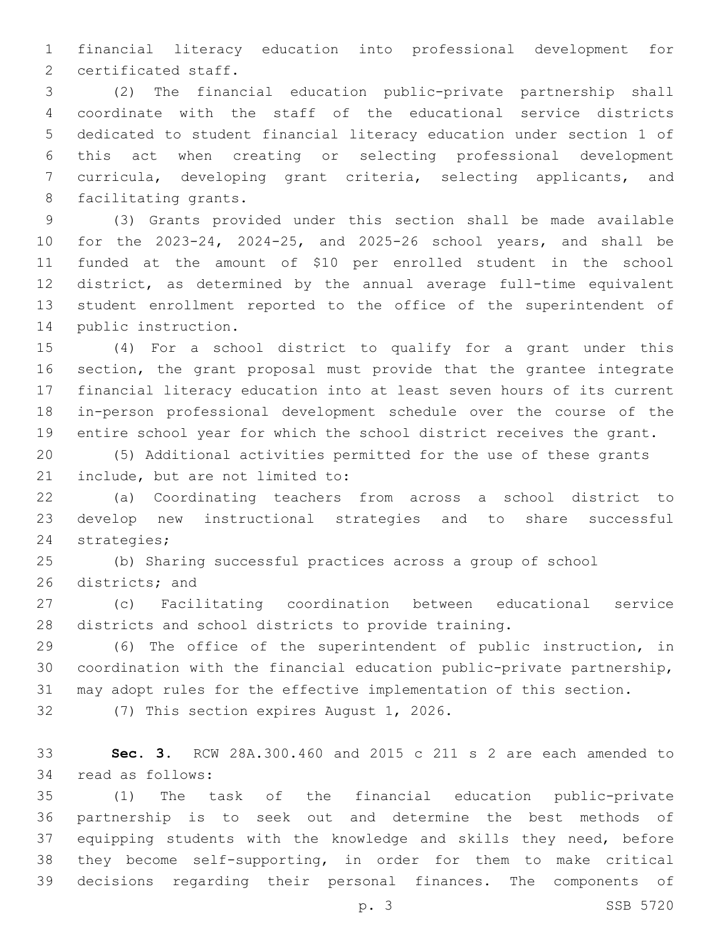financial literacy education into professional development for 2 certificated staff.

 (2) The financial education public-private partnership shall coordinate with the staff of the educational service districts dedicated to student financial literacy education under section 1 of this act when creating or selecting professional development curricula, developing grant criteria, selecting applicants, and 8 facilitating grants.

 (3) Grants provided under this section shall be made available for the 2023-24, 2024-25, and 2025-26 school years, and shall be funded at the amount of \$10 per enrolled student in the school district, as determined by the annual average full-time equivalent student enrollment reported to the office of the superintendent of 14 public instruction.

 (4) For a school district to qualify for a grant under this section, the grant proposal must provide that the grantee integrate financial literacy education into at least seven hours of its current in-person professional development schedule over the course of the entire school year for which the school district receives the grant.

 (5) Additional activities permitted for the use of these grants 21 include, but are not limited to:

 (a) Coordinating teachers from across a school district to develop new instructional strategies and to share successful 24 strategies;

 (b) Sharing successful practices across a group of school 26 districts; and

 (c) Facilitating coordination between educational service districts and school districts to provide training.

 (6) The office of the superintendent of public instruction, in coordination with the financial education public-private partnership, may adopt rules for the effective implementation of this section.

32 (7) This section expires August 1, 2026.

 **Sec. 3.** RCW 28A.300.460 and 2015 c 211 s 2 are each amended to 34 read as follows:

 (1) The task of the financial education public-private partnership is to seek out and determine the best methods of equipping students with the knowledge and skills they need, before they become self-supporting, in order for them to make critical decisions regarding their personal finances. The components of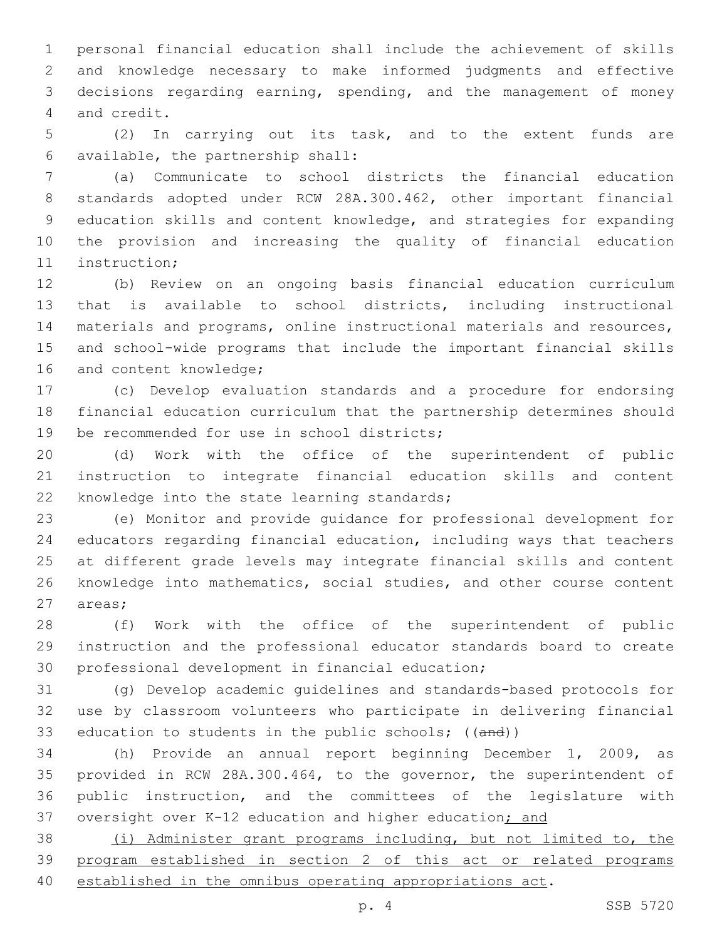personal financial education shall include the achievement of skills and knowledge necessary to make informed judgments and effective decisions regarding earning, spending, and the management of money 4 and credit.

 (2) In carrying out its task, and to the extent funds are available, the partnership shall:6

 (a) Communicate to school districts the financial education standards adopted under RCW 28A.300.462, other important financial education skills and content knowledge, and strategies for expanding the provision and increasing the quality of financial education 11 instruction;

 (b) Review on an ongoing basis financial education curriculum that is available to school districts, including instructional materials and programs, online instructional materials and resources, and school-wide programs that include the important financial skills 16 and content knowledge;

 (c) Develop evaluation standards and a procedure for endorsing financial education curriculum that the partnership determines should 19 be recommended for use in school districts;

 (d) Work with the office of the superintendent of public instruction to integrate financial education skills and content 22 knowledge into the state learning standards;

 (e) Monitor and provide guidance for professional development for educators regarding financial education, including ways that teachers at different grade levels may integrate financial skills and content knowledge into mathematics, social studies, and other course content 27 areas;

 (f) Work with the office of the superintendent of public instruction and the professional educator standards board to create 30 professional development in financial education;

 (g) Develop academic guidelines and standards-based protocols for use by classroom volunteers who participate in delivering financial 33 education to students in the public schools; ((and))

 (h) Provide an annual report beginning December 1, 2009, as provided in RCW 28A.300.464, to the governor, the superintendent of public instruction, and the committees of the legislature with 37 oversight over K-12 education and higher education; and

 (i) Administer grant programs including, but not limited to, the program established in section 2 of this act or related programs established in the omnibus operating appropriations act.

p. 4 SSB 5720